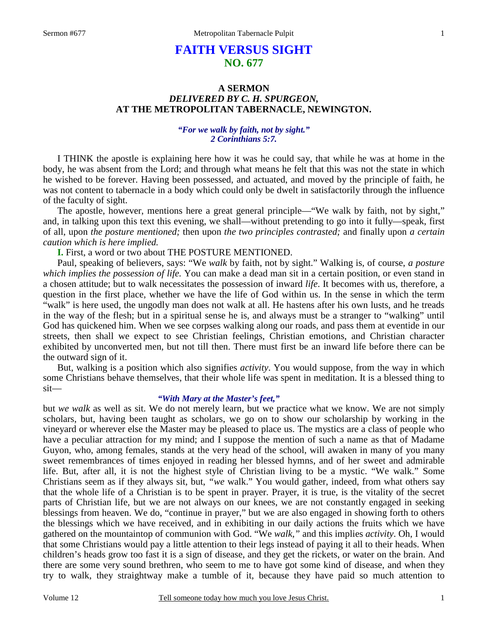# **FAITH VERSUS SIGHT NO. 677**

# **A SERMON** *DELIVERED BY C. H. SPURGEON,*  **AT THE METROPOLITAN TABERNACLE, NEWINGTON.**

### *"For we walk by faith, not by sight." 2 Corinthians 5:7.*

 I THINK the apostle is explaining here how it was he could say, that while he was at home in the body, he was absent from the Lord; and through what means he felt that this was not the state in which he wished to be forever. Having been possessed, and actuated, and moved by the principle of faith, he was not content to tabernacle in a body which could only be dwelt in satisfactorily through the influence of the faculty of sight.

 The apostle, however, mentions here a great general principle—"We walk by faith, not by sight," and, in talking upon this text this evening, we shall—without pretending to go into it fully—speak, first of all, upon *the posture mentioned;* then upon *the two principles contrasted;* and finally upon *a certain caution which is here implied.*

**I.** First, a word or two about THE POSTURE MENTIONED.

 Paul, speaking of believers, says: "We *walk* by faith, not by sight." Walking is, of course, *a posture which implies the possession of life.* You can make a dead man sit in a certain position, or even stand in a chosen attitude; but to walk necessitates the possession of inward *life*. It becomes with us, therefore, a question in the first place, whether we have the life of God within us. In the sense in which the term "walk" is here used, the ungodly man does not walk at all. He hastens after his own lusts, and he treads in the way of the flesh; but in a spiritual sense he is, and always must be a stranger to "walking" until God has quickened him. When we see corpses walking along our roads, and pass them at eventide in our streets, then shall we expect to see Christian feelings, Christian emotions, and Christian character exhibited by unconverted men, but not till then. There must first be an inward life before there can be the outward sign of it.

 But, walking is a position which also signifies *activity*. You would suppose, from the way in which some Christians behave themselves, that their whole life was spent in meditation. It is a blessed thing to sit—

# *"With Mary at the Master's feet,"*

but *we walk* as well as sit. We do not merely learn, but we practice what we know. We are not simply scholars, but, having been taught as scholars, we go on to show our scholarship by working in the vineyard or wherever else the Master may be pleased to place us. The mystics are a class of people who have a peculiar attraction for my mind; and I suppose the mention of such a name as that of Madame Guyon, who, among females, stands at the very head of the school, will awaken in many of you many sweet remembrances of times enjoyed in reading her blessed hymns, and of her sweet and admirable life. But, after all, it is not the highest style of Christian living to be a mystic. "We walk." Some Christians seem as if they always sit, but, *"we* walk." You would gather, indeed, from what others say that the whole life of a Christian is to be spent in prayer. Prayer, it is true, is the vitality of the secret parts of Christian life, but we are not always on our knees, we are not constantly engaged in seeking blessings from heaven. We do, "continue in prayer," but we are also engaged in showing forth to others the blessings which we have received, and in exhibiting in our daily actions the fruits which we have gathered on the mountaintop of communion with God. "We *walk,"* and this implies *activity*. Oh, I would that some Christians would pay a little attention to their legs instead of paying it all to their heads. When children's heads grow too fast it is a sign of disease, and they get the rickets, or water on the brain. And there are some very sound brethren, who seem to me to have got some kind of disease, and when they try to walk, they straightway make a tumble of it, because they have paid so much attention to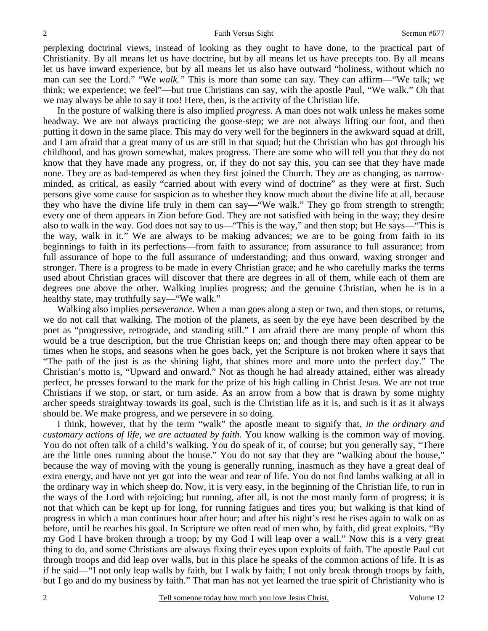perplexing doctrinal views, instead of looking as they ought to have done, to the practical part of Christianity. By all means let us have doctrine, but by all means let us have precepts too. By all means let us have inward experience, but by all means let us also have outward "holiness, without which no man can see the Lord." "We *walk."* This is more than some can say. They can affirm—"We talk; we think; we experience; we feel"—but true Christians can say, with the apostle Paul, "We walk." Oh that we may always be able to say it too! Here, then, is the activity of the Christian life.

 In the posture of walking there is also implied *progress*. A man does not walk unless he makes some headway. We are not always practicing the goose-step; we are not always lifting our foot, and then putting it down in the same place. This may do very well for the beginners in the awkward squad at drill, and I am afraid that a great many of us are still in that squad; but the Christian who has got through his childhood, and has grown somewhat, makes progress. There are some who will tell you that they do not know that they have made any progress, or, if they do not say this, you can see that they have made none. They are as bad-tempered as when they first joined the Church. They are as changing, as narrowminded, as critical, as easily "carried about with every wind of doctrine" as they were at first. Such persons give some cause for suspicion as to whether they know much about the divine life at all, because they who have the divine life truly in them can say—"We walk." They go from strength to strength; every one of them appears in Zion before God. They are not satisfied with being in the way; they desire also to walk in the way. God does not say to us—"This is the way," and then stop; but He says—"This is the way, walk in it." We are always to be making advances; we are to be going from faith in its beginnings to faith in its perfections—from faith to assurance; from assurance to full assurance; from full assurance of hope to the full assurance of understanding; and thus onward, waxing stronger and stronger. There is a progress to be made in every Christian grace; and he who carefully marks the terms used about Christian graces will discover that there are degrees in all of them, while each of them are degrees one above the other. Walking implies progress; and the genuine Christian, when he is in a healthy state, may truthfully say—"We walk."

 Walking also implies *perseverance*. When a man goes along a step or two, and then stops, or returns, we do not call that walking. The motion of the planets, as seen by the eye have been described by the poet as "progressive, retrograde, and standing still." I am afraid there are many people of whom this would be a true description, but the true Christian keeps on; and though there may often appear to be times when he stops, and seasons when he goes back, yet the Scripture is not broken where it says that "The path of the just is as the shining light, that shines more and more unto the perfect day." The Christian's motto is, "Upward and onward." Not as though he had already attained, either was already perfect, he presses forward to the mark for the prize of his high calling in Christ Jesus. We are not true Christians if we stop, or start, or turn aside. As an arrow from a bow that is drawn by some mighty archer speeds straightway towards its goal, such is the Christian life as it is, and such is it as it always should be. We make progress, and we persevere in so doing.

 I think, however, that by the term "walk" the apostle meant to signify that, *in the ordinary and customary actions of life, we are actuated by faith.* You know walking is the common way of moving. You do not often talk of a child's walking. You do speak of it, of course; but you generally say, "There are the little ones running about the house." You do not say that they are "walking about the house," because the way of moving with the young is generally running, inasmuch as they have a great deal of extra energy, and have not yet got into the wear and tear of life. You do not find lambs walking at all in the ordinary way in which sheep do. Now, it is very easy, in the beginning of the Christian life, to run in the ways of the Lord with rejoicing; but running, after all, is not the most manly form of progress; it is not that which can be kept up for long, for running fatigues and tires you; but walking is that kind of progress in which a man continues hour after hour; and after his night's rest he rises again to walk on as before, until he reaches his goal. In Scripture we often read of men who, by faith, did great exploits. "By my God I have broken through a troop; by my God I will leap over a wall." Now this is a very great thing to do, and some Christians are always fixing their eyes upon exploits of faith. The apostle Paul cut through troops and did leap over walls, but in this place he speaks of the common actions of life. It is as if he said—"I not only leap walls by faith, but I walk by faith; I not only break through troops by faith, but I go and do my business by faith." That man has not yet learned the true spirit of Christianity who is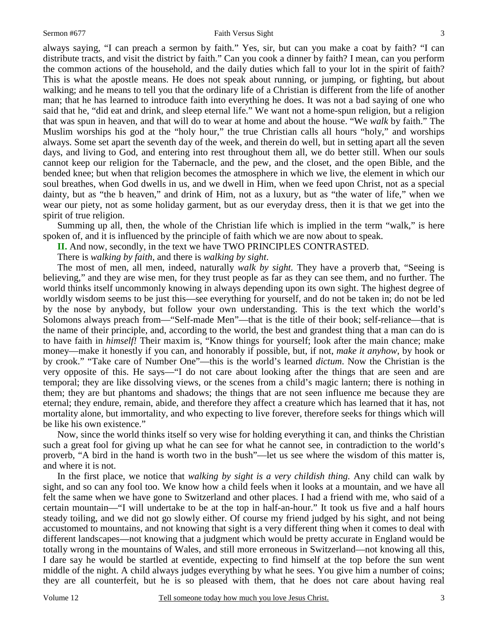always saying, "I can preach a sermon by faith." Yes, sir, but can you make a coat by faith? "I can distribute tracts, and visit the district by faith." Can you cook a dinner by faith? I mean, can you perform the common actions of the household, and the daily duties which fall to your lot in the spirit of faith? This is what the apostle means. He does not speak about running, or jumping, or fighting, but about walking; and he means to tell you that the ordinary life of a Christian is different from the life of another man; that he has learned to introduce faith into everything he does. It was not a bad saying of one who said that he, "did eat and drink, and sleep eternal life." We want not a home-spun religion, but a religion that was spun in heaven, and that will do to wear at home and about the house. "We *walk* by faith." The Muslim worships his god at the "holy hour," the true Christian calls all hours "holy," and worships always. Some set apart the seventh day of the week, and therein do well, but in setting apart all the seven days, and living to God, and entering into rest throughout them all, we do better still. When our souls cannot keep our religion for the Tabernacle, and the pew, and the closet, and the open Bible, and the bended knee; but when that religion becomes the atmosphere in which we live, the element in which our soul breathes, when God dwells in us, and we dwell in Him, when we feed upon Christ, not as a special dainty, but as "the b heaven," and drink of Him, not as a luxury, but as "the water of life," when we wear our piety, not as some holiday garment, but as our everyday dress, then it is that we get into the spirit of true religion.

 Summing up all, then, the whole of the Christian life which is implied in the term "walk," is here spoken of, and it is influenced by the principle of faith which we are now about to speak.

**II.** And now, secondly, in the text we have TWO PRINCIPLES CONTRASTED.

There is *walking by faith*, and there is *walking by sight*.

 The most of men, all men, indeed, naturally *walk by sight.* They have a proverb that, "Seeing is believing," and they are wise men, for they trust people as far as they can see them, and no further. The world thinks itself uncommonly knowing in always depending upon its own sight. The highest degree of worldly wisdom seems to be just this—see everything for yourself, and do not be taken in; do not be led by the nose by anybody, but follow your own understanding. This is the text which the world's Solomons always preach from—"Self-made Men"—that is the title of their book; self-reliance—that is the name of their principle, and, according to the world, the best and grandest thing that a man can do is to have faith in *himself!* Their maxim is, "Know things for yourself; look after the main chance; make money—make it honestly if you can, and honorably if possible, but, if not, *make it anyhow*, by hook or by crook." "Take care of Number One"—this is the world's learned *dictum*. Now the Christian is the very opposite of this. He says—"I do not care about looking after the things that are seen and are temporal; they are like dissolving views, or the scenes from a child's magic lantern; there is nothing in them; they are but phantoms and shadows; the things that are not seen influence me because they are eternal; they endure, remain, abide, and therefore they affect a creature which has learned that it has, not mortality alone, but immortality, and who expecting to live forever, therefore seeks for things which will be like his own existence."

 Now, since the world thinks itself so very wise for holding everything it can, and thinks the Christian such a great fool for giving up what he can see for what he cannot see, in contradiction to the world's proverb, "A bird in the hand is worth two in the bush"—let us see where the wisdom of this matter is, and where it is not.

 In the first place, we notice that *walking by sight is a very childish thing.* Any child can walk by sight, and so can any fool too. We know how a child feels when it looks at a mountain, and we have all felt the same when we have gone to Switzerland and other places. I had a friend with me, who said of a certain mountain—"I will undertake to be at the top in half-an-hour." It took us five and a half hours steady toiling, and we did not go slowly either. Of course my friend judged by his sight, and not being accustomed to mountains, and not knowing that sight is a very different thing when it comes to deal with different landscapes—not knowing that a judgment which would be pretty accurate in England would be totally wrong in the mountains of Wales, and still more erroneous in Switzerland—not knowing all this, I dare say he would be startled at eventide, expecting to find himself at the top before the sun went middle of the night. A child always judges everything by what he sees. You give him a number of coins; they are all counterfeit, but he is so pleased with them, that he does not care about having real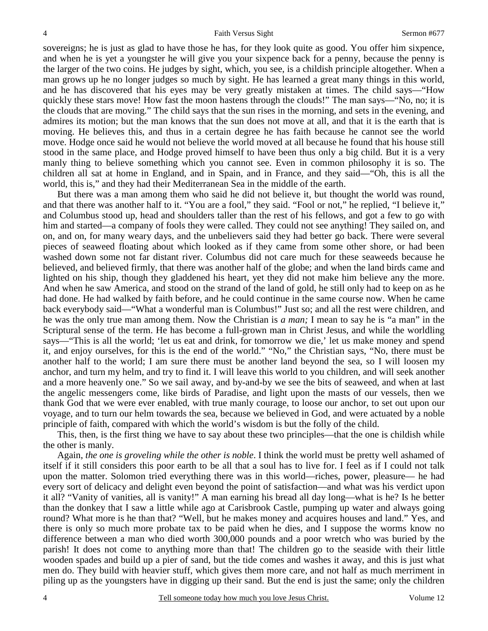sovereigns; he is just as glad to have those he has, for they look quite as good. You offer him sixpence, and when he is yet a youngster he will give you your sixpence back for a penny, because the penny is the larger of the two coins. He judges by sight, which, you see, is a childish principle altogether. When a man grows up he no longer judges so much by sight. He has learned a great many things in this world, and he has discovered that his eyes may be very greatly mistaken at times. The child says—"How quickly these stars move! How fast the moon hastens through the clouds!" The man says—"No, no; it is the clouds that are moving." The child says that the sun rises in the morning, and sets in the evening, and admires its motion; but the man knows that the sun does not move at all, and that it is the earth that is moving. He believes this, and thus in a certain degree he has faith because he cannot see the world move. Hodge once said he would not believe the world moved at all because he found that his house still stood in the same place, and Hodge proved himself to have been thus only a big child. But it is a very manly thing to believe something which you cannot see. Even in common philosophy it is so. The children all sat at home in England, and in Spain, and in France, and they said—"Oh, this is all the world, this is," and they had their Mediterranean Sea in the middle of the earth.

 But there was a man among them who said he did not believe it, but thought the world was round, and that there was another half to it. "You are a fool," they said. "Fool or not," he replied, "I believe it," and Columbus stood up, head and shoulders taller than the rest of his fellows, and got a few to go with him and started—a company of fools they were called. They could not see anything! They sailed on, and on, and on, for many weary days, and the unbelievers said they had better go back. There were several pieces of seaweed floating about which looked as if they came from some other shore, or had been washed down some not far distant river. Columbus did not care much for these seaweeds because he believed, and believed firmly, that there was another half of the globe; and when the land birds came and lighted on his ship, though they gladdened his heart, yet they did not make him believe any the more. And when he saw America, and stood on the strand of the land of gold, he still only had to keep on as he had done. He had walked by faith before, and he could continue in the same course now. When he came back everybody said—"What a wonderful man is Columbus!" Just so; and all the rest were children, and he was the only true man among them. Now the Christian is *a man;* I mean to say he is "a man" in the Scriptural sense of the term. He has become a full-grown man in Christ Jesus, and while the worldling says—"This is all the world; 'let us eat and drink, for tomorrow we die,' let us make money and spend it, and enjoy ourselves, for this is the end of the world." "No," the Christian says, "No, there must be another half to the world; I am sure there must be another land beyond the sea, so I will loosen my anchor, and turn my helm, and try to find it. I will leave this world to you children, and will seek another and a more heavenly one." So we sail away, and by-and-by we see the bits of seaweed, and when at last the angelic messengers come, like birds of Paradise, and light upon the masts of our vessels, then we thank God that we were ever enabled, with true manly courage, to loose our anchor, to set out upon our voyage, and to turn our helm towards the sea, because we believed in God, and were actuated by a noble principle of faith, compared with which the world's wisdom is but the folly of the child.

 This, then, is the first thing we have to say about these two principles—that the one is childish while the other is manly.

 Again, *the one is groveling while the other is noble*. I think the world must be pretty well ashamed of itself if it still considers this poor earth to be all that a soul has to live for. I feel as if I could not talk upon the matter. Solomon tried everything there was in this world—riches, power, pleasure— he had every sort of delicacy and delight even beyond the point of satisfaction—and what was his verdict upon it all? "Vanity of vanities, all is vanity!" A man earning his bread all day long—what is he? Is he better than the donkey that I saw a little while ago at Carisbrook Castle, pumping up water and always going round? What more is he than that? "Well, but he makes money and acquires houses and land." Yes, and there is only so much more probate tax to be paid when he dies, and I suppose the worms know no difference between a man who died worth 300,000 pounds and a poor wretch who was buried by the parish! It does not come to anything more than that! The children go to the seaside with their little wooden spades and build up a pier of sand, but the tide comes and washes it away, and this is just what men do. They build with heavier stuff, which gives them more care, and not half as much merriment in piling up as the youngsters have in digging up their sand. But the end is just the same; only the children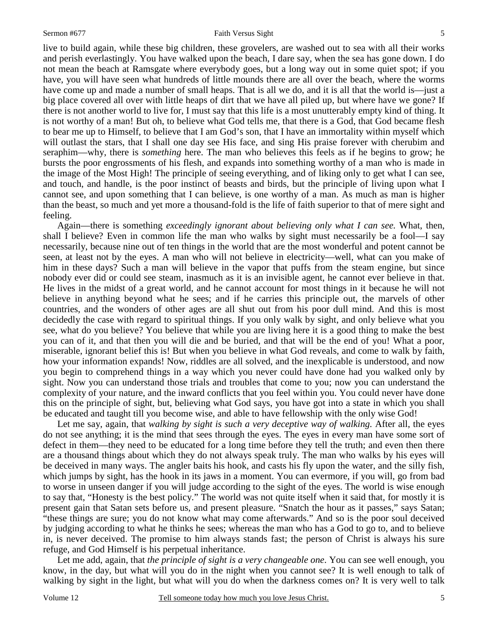live to build again, while these big children, these grovelers, are washed out to sea with all their works and perish everlastingly. You have walked upon the beach, I dare say, when the sea has gone down. I do not mean the beach at Ramsgate where everybody goes, but a long way out in some quiet spot; if you have, you will have seen what hundreds of little mounds there are all over the beach, where the worms have come up and made a number of small heaps. That is all we do, and it is all that the world is—just a big place covered all over with little heaps of dirt that we have all piled up, but where have we gone? If there is not another world to live for, I must say that this life is a most unutterably empty kind of thing. It is not worthy of a man! But oh, to believe what God tells me, that there is a God, that God became flesh to bear me up to Himself, to believe that I am God's son, that I have an immortality within myself which will outlast the stars, that I shall one day see His face, and sing His praise forever with cherubim and seraphim—why, there is *something* here. The man who believes this feels as if he begins to grow; he bursts the poor engrossments of his flesh, and expands into something worthy of a man who is made in the image of the Most High! The principle of seeing everything, and of liking only to get what I can see, and touch, and handle, is the poor instinct of beasts and birds, but the principle of living upon what I cannot see, and upon something that I can believe, is one worthy of a man. As much as man is higher than the beast, so much and yet more a thousand-fold is the life of faith superior to that of mere sight and feeling.

 Again—there is something *exceedingly ignorant about believing only what I can see.* What, then, shall I believe? Even in common life the man who walks by sight must necessarily be a fool—I say necessarily, because nine out of ten things in the world that are the most wonderful and potent cannot be seen, at least not by the eyes. A man who will not believe in electricity—well, what can you make of him in these days? Such a man will believe in the vapor that puffs from the steam engine, but since nobody ever did or could see steam, inasmuch as it is an invisible agent, he cannot ever believe in that. He lives in the midst of a great world, and he cannot account for most things in it because he will not believe in anything beyond what he sees; and if he carries this principle out, the marvels of other countries, and the wonders of other ages are all shut out from his poor dull mind. And this is most decidedly the case with regard to spiritual things. If you only walk by sight, and only believe what you see, what do you believe? You believe that while you are living here it is a good thing to make the best you can of it, and that then you will die and be buried, and that will be the end of you! What a poor, miserable, ignorant belief this is! But when you believe in what God reveals, and come to walk by faith, how your information expands! Now, riddles are all solved, and the inexplicable is understood, and now you begin to comprehend things in a way which you never could have done had you walked only by sight. Now you can understand those trials and troubles that come to you; now you can understand the complexity of your nature, and the inward conflicts that you feel within you. You could never have done this on the principle of sight, but, believing what God says, you have got into a state in which you shall be educated and taught till you become wise, and able to have fellowship with the only wise God!

 Let me say, again, that *walking by sight is such a very deceptive way of walking.* After all, the eyes do not see anything; it is the mind that sees through the eyes. The eyes in every man have some sort of defect in them—they need to be educated for a long time before they tell the truth; and even then there are a thousand things about which they do not always speak truly. The man who walks by his eyes will be deceived in many ways. The angler baits his hook, and casts his fly upon the water, and the silly fish, which jumps by sight, has the hook in its jaws in a moment. You can evermore, if you will, go from bad to worse in unseen danger if you will judge according to the sight of the eyes. The world is wise enough to say that, "Honesty is the best policy." The world was not quite itself when it said that, for mostly it is present gain that Satan sets before us, and present pleasure. "Snatch the hour as it passes," says Satan; "these things are sure; you do not know what may come afterwards." And so is the poor soul deceived by judging according to what he thinks he sees; whereas the man who has a God to go to, and to believe in, is never deceived. The promise to him always stands fast; the person of Christ is always his sure refuge, and God Himself is his perpetual inheritance.

 Let me add, again, that *the principle of sight is a very changeable one*. You can see well enough, you know, in the day, but what will you do in the night when you cannot see? It is well enough to talk of walking by sight in the light, but what will you do when the darkness comes on? It is very well to talk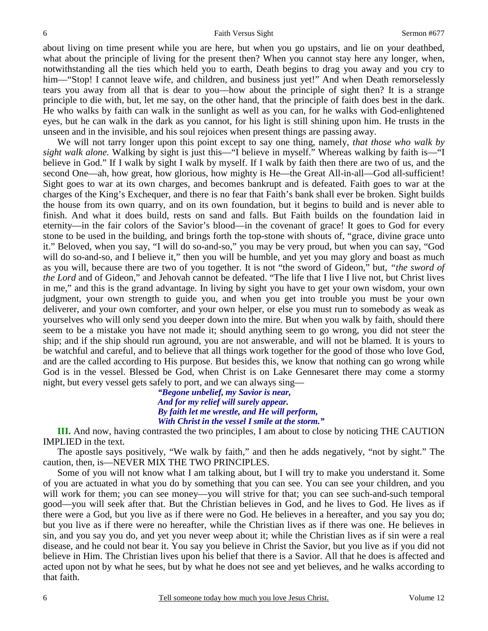about living on time present while you are here, but when you go upstairs, and lie on your deathbed, what about the principle of living for the present then? When you cannot stay here any longer, when, notwithstanding all the ties which held you to earth, Death begins to drag you away and you cry to him—"Stop! I cannot leave wife, and children, and business just yet!" And when Death remorselessly tears you away from all that is dear to you—how about the principle of sight then? It is a strange principle to die with, but, let me say, on the other hand, that the principle of faith does best in the dark. He who walks by faith can walk in the sunlight as well as you can, for he walks with God-enlightened eyes, but he can walk in the dark as you cannot, for his light is still shining upon him. He trusts in the unseen and in the invisible, and his soul rejoices when present things are passing away.

 We will not tarry longer upon this point except to say one thing, namely, *that those who walk by sight walk alone.* Walking by sight is just this—"I believe in myself." Whereas walking by faith is—"I believe in God." If I walk by sight I walk by myself. If I walk by faith then there are two of us, and the second One—ah, how great, how glorious, how mighty is He—the Great All-in-all—God all-sufficient! Sight goes to war at its own charges, and becomes bankrupt and is defeated. Faith goes to war at the charges of the King's Exchequer, and there is no fear that Faith's bank shall ever be broken. Sight builds the house from its own quarry, and on its own foundation, but it begins to build and is never able to finish. And what it does build, rests on sand and falls. But Faith builds on the foundation laid in eternity—in the fair colors of the Savior's blood—in the covenant of grace! It goes to God for every stone to be used in the building, and brings forth the top-stone with shouts of, "grace, divine grace unto it." Beloved, when you say, "I will do so-and-so," you may be very proud, but when you can say, "God will do so-and-so, and I believe it," then you will be humble, and yet you may glory and boast as much as you will, because there are two of you together. It is not "the sword of Gideon," but, *"the sword of the Lord* and of Gideon," and Jehovah cannot be defeated. "The life that I live I live not, but Christ lives in me," and this is the grand advantage. In living by sight you have to get your own wisdom, your own judgment, your own strength to guide you, and when you get into trouble you must be your own deliverer, and your own comforter, and your own helper, or else you must run to somebody as weak as yourselves who will only send you deeper down into the mire. But when you walk by faith, should there seem to be a mistake you have not made it; should anything seem to go wrong, you did not steer the ship; and if the ship should run aground, you are not answerable, and will not be blamed. It is yours to be watchful and careful, and to believe that all things work together for the good of those who love God, and are the called according to His purpose. But besides this, we know that nothing can go wrong while God is in the vessel. Blessed be God, when Christ is on Lake Gennesaret there may come a stormy night, but every vessel gets safely to port, and we can always sing—

> *"Begone unbelief, my Savior is near, And for my relief will surely appear. By faith let me wrestle, and He will perform, With Christ in the vessel I smile at the storm."*

**III.** And now, having contrasted the two principles, I am about to close by noticing THE CAUTION IMPLIED in the text.

 The apostle says positively, "We walk by faith," and then he adds negatively, "not by sight." The caution, then, is—NEVER MIX THE TWO PRINCIPLES.

 Some of you will not know what I am talking about, but I will try to make you understand it. Some of you are actuated in what you do by something that you can see. You can see your children, and you will work for them; you can see money—you will strive for that; you can see such-and-such temporal good—you will seek after that. But the Christian believes in God, and he lives to God. He lives as if there were a God, but you live as if there were no God. He believes in a hereafter, and you say you do; but you live as if there were no hereafter, while the Christian lives as if there was one. He believes in sin, and you say you do, and yet you never weep about it; while the Christian lives as if sin were a real disease, and he could not bear it. You say you believe in Christ the Savior, but you live as if you did not believe in Him. The Christian lives upon his belief that there is a Savior. All that he does is affected and acted upon not by what he sees, but by what he does not see and yet believes, and he walks according to that faith.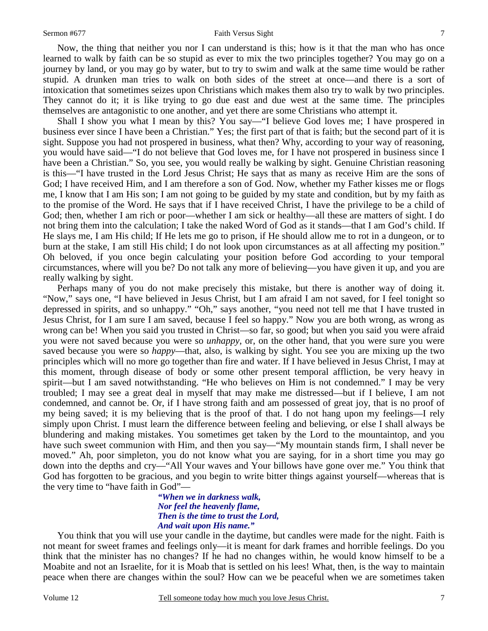#### Sermon #677 Faith Versus Sight

 Now, the thing that neither you nor I can understand is this; how is it that the man who has once learned to walk by faith can be so stupid as ever to mix the two principles together? You may go on a journey by land, or you may go by water, but to try to swim and walk at the same time would be rather stupid. A drunken man tries to walk on both sides of the street at once—and there is a sort of intoxication that sometimes seizes upon Christians which makes them also try to walk by two principles. They cannot do it; it is like trying to go due east and due west at the same time. The principles themselves are antagonistic to one another, and yet there are some Christians who attempt it.

 Shall I show you what I mean by this? You say—"I believe God loves me; I have prospered in business ever since I have been a Christian." Yes; the first part of that is faith; but the second part of it is sight. Suppose you had not prospered in business, what then? Why, according to your way of reasoning, you would have said—"I do not believe that God loves me, for I have not prospered in business since I have been a Christian." So, you see, you would really be walking by sight. Genuine Christian reasoning is this—"I have trusted in the Lord Jesus Christ; He says that as many as receive Him are the sons of God; I have received Him, and I am therefore a son of God. Now, whether my Father kisses me or flogs me, I know that I am His son; I am not going to be guided by my state and condition, but by my faith as to the promise of the Word. He says that if I have received Christ, I have the privilege to be a child of God; then, whether I am rich or poor—whether I am sick or healthy—all these are matters of sight. I do not bring them into the calculation; I take the naked Word of God as it stands—that I am God's child. If He slays me, I am His child; If He lets me go to prison, if He should allow me to rot in a dungeon, or to burn at the stake, I am still His child; I do not look upon circumstances as at all affecting my position." Oh beloved, if you once begin calculating your position before God according to your temporal circumstances, where will you be? Do not talk any more of believing—you have given it up, and you are really walking by sight.

 Perhaps many of you do not make precisely this mistake, but there is another way of doing it. "Now," says one, "I have believed in Jesus Christ, but I am afraid I am not saved, for I feel tonight so depressed in spirits, and so unhappy." "Oh," says another, "you need not tell me that I have trusted in Jesus Christ, for I am sure I am saved, because I feel so happy." Now you are both wrong, as wrong as wrong can be! When you said you trusted in Christ—so far, so good; but when you said you were afraid you were not saved because you were so *unhappy*, or, on the other hand, that you were sure you were saved because you were so *happy*—that, also, is walking by sight. You see you are mixing up the two principles which will no more go together than fire and water. If I have believed in Jesus Christ, I may at this moment, through disease of body or some other present temporal affliction, be very heavy in spirit—but I am saved notwithstanding. "He who believes on Him is not condemned." I may be very troubled; I may see a great deal in myself that may make me distressed—but if I believe, I am not condemned, and cannot be. Or, if I have strong faith and am possessed of great joy, that is no proof of my being saved; it is my believing that is the proof of that. I do not hang upon my feelings—I rely simply upon Christ. I must learn the difference between feeling and believing, or else I shall always be blundering and making mistakes. You sometimes get taken by the Lord to the mountaintop, and you have such sweet communion with Him, and then you say—"My mountain stands firm, I shall never be moved." Ah, poor simpleton, you do not know what you are saying, for in a short time you may go down into the depths and cry—"All Your waves and Your billows have gone over me." You think that God has forgotten to be gracious, and you begin to write bitter things against yourself—whereas that is the very time to "have faith in God"—

#### *"When we in darkness walk, Nor feel the heavenly flame, Then is the time to trust the Lord, And wait upon His name."*

 You think that you will use your candle in the daytime, but candles were made for the night. Faith is not meant for sweet frames and feelings only—it is meant for dark frames and horrible feelings. Do you think that the minister has no changes? If he had no changes within, he would know himself to be a Moabite and not an Israelite, for it is Moab that is settled on his lees! What, then, is the way to maintain peace when there are changes within the soul? How can we be peaceful when we are sometimes taken